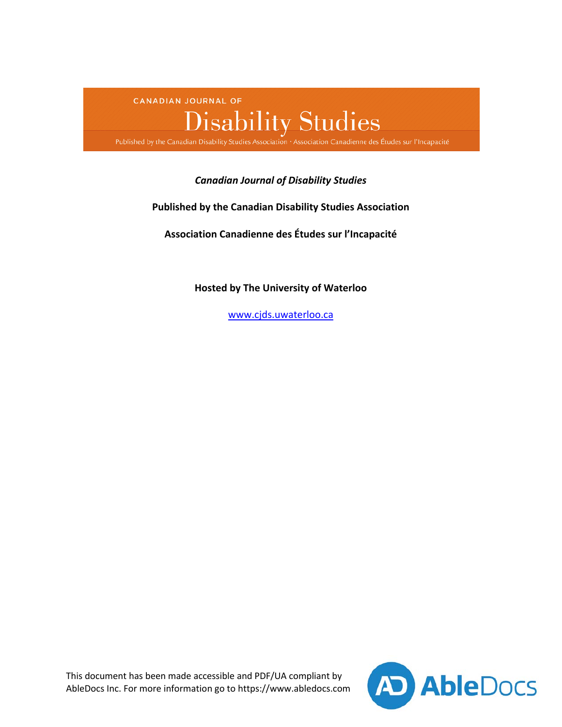CANADIAN JOURNAL OF

# $\label{eq:3} \textbf{Disability Studies}$ Published by the Canadian Disability Studies Association · Association Canadienne des Études sur l'Incapacité

# *Canadian Journal of Disability Studies*

# **Published by the Canadian Disability Studies Association**

**Association Canadienne des Études sur l'Incapacité**

**Hosted by The University of Waterloo**

[www.cjds.uwaterloo.ca](http://cjds.uwaterloo.ca)

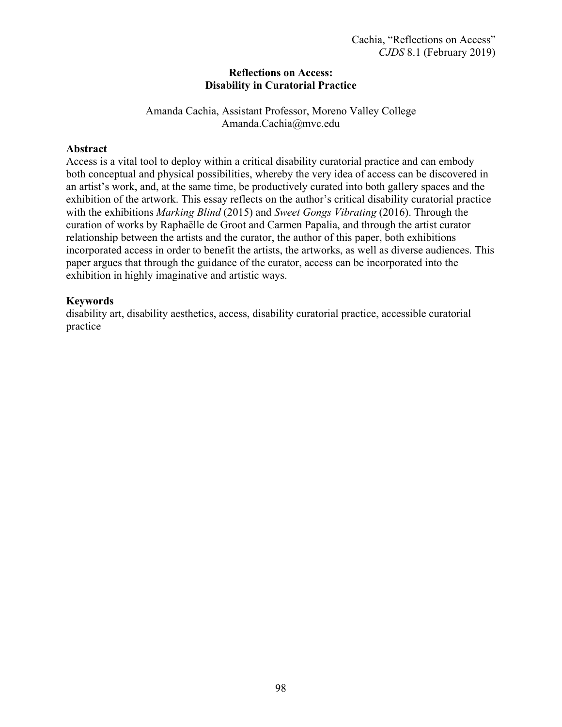# **Reflections on Access: Disability in Curatorial Practice**

Amanda Cachia, Assistant Professor, Moreno Valley College [Amanda.Cachia@mvc.edu](mailto:Amanda.Cachia@mvc.edu)

# **Abstract**

Access is a vital tool to deploy within a critical disability curatorial practice and can embody both conceptual and physical possibilities, whereby the very idea of access can be discovered in an artist's work, and, at the same time, be productively curated into both gallery spaces and the exhibition of the artwork. This essay reflects on the author's critical disability curatorial practice with the exhibitions *Marking Blind* (2015) and *Sweet Gongs Vibrating* (2016). Through the curation of works by Raphaëlle de Groot and Carmen Papalia, and through the artist curator relationship between the artists and the curator, the author of this paper, both exhibitions incorporated access in order to benefit the artists, the artworks, as well as diverse audiences. This paper argues that through the guidance of the curator, access can be incorporated into the exhibition in highly imaginative and artistic ways.

# **Keywords**

disability art, disability aesthetics, access, disability curatorial practice, accessible curatorial practice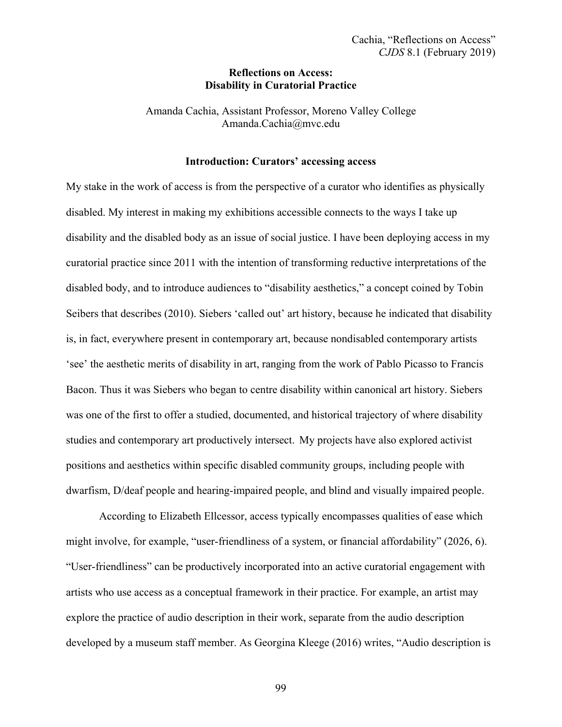#### **Reflections on Access: Disability in Curatorial Practice**

Amanda Cachia, Assistant Professor, Moreno Valley College Amanda.Cachia@mvc.edu

## **Introduction: Curators' accessing access**

My stake in the work of access is from the perspective of a curator who identifies as physically disabled. My interest in making my exhibitions accessible connects to the ways I take up disability and the disabled body as an issue of social justice. I have been deploying access in my curatorial practice since 2011 with the intention of transforming reductive interpretations of the disabled body, and to introduce audiences to "disability aesthetics," a concept coined by Tobin Seibers that describes (2010). Siebers 'called out' art history, because he indicated that disability is, in fact, everywhere present in contemporary art, because nondisabled contemporary artists 'see' the aesthetic merits of disability in art, ranging from the work of Pablo Picasso to Francis Bacon. Thus it was Siebers who began to centre disability within canonical art history. Siebers was one of the first to offer a studied, documented, and historical trajectory of where disability studies and contemporary art productively intersect. My projects have also explored activist positions and aesthetics within specific disabled community groups, including people with dwarfism, D/deaf people and hearing-impaired people, and blind and visually impaired people.

According to Elizabeth Ellcessor, access typically encompasses qualities of ease which might involve, for example, "user-friendliness of a system, or financial affordability" (2026, 6). "User-friendliness" can be productively incorporated into an active curatorial engagement with artists who use access as a conceptual framework in their practice. For example, an artist may explore the practice of audio description in their work, separate from the audio description developed by a museum staff member. As Georgina Kleege (2016) writes, "Audio description is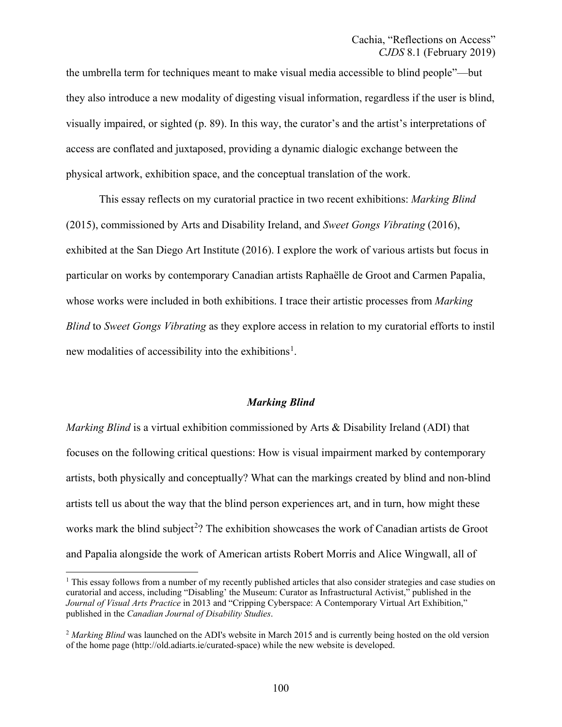the umbrella term for techniques meant to make visual media accessible to blind people"—but they also introduce a new modality of digesting visual information, regardless if the user is blind, visually impaired, or sighted (p. 89). In this way, the curator's and the artist's interpretations of access are conflated and juxtaposed, providing a dynamic dialogic exchange between the physical artwork, exhibition space, and the conceptual translation of the work.

This essay reflects on my curatorial practice in two recent exhibitions: *Marking Blind*  (2015), commissioned by Arts and Disability Ireland, and *Sweet Gongs Vibrating* (2016), exhibited at the San Diego Art Institute (2016). I explore the work of various artists but focus in particular on works by contemporary Canadian artists Raphaëlle de Groot and Carmen Papalia, whose works were included in both exhibitions. I trace their artistic processes from *Marking Blind* to *Sweet Gongs Vibrating* as they explore access in relation to my curatorial efforts to instil new modalities of accessibility into the exhibitions<sup>[1](#page-3-0)</sup>.

#### <span id="page-3-3"></span><span id="page-3-1"></span>*Marking Blind*

*Marking Blind* is a virtual exhibition commissioned by Arts & Disability Ireland (ADI) that focuses on the following critical questions: How is visual impairment marked by contemporary artists, both physically and conceptually? What can the markings created by blind and non-blind artists tell us about the way that the blind person experiences art, and in turn, how might these works mark the blind subject<sup>[2](#page-3-2)</sup>? The exhibition showcases the work of Canadian artists de Groot and Papalia alongside the work of American artists Robert Morris and Alice Wingwall, all of

<span id="page-3-0"></span><sup>&</sup>lt;sup>[1](#page-3-1)</sup> This essay follows from a number of my recently published articles that also consider strategies and case studies on curatorial and access, including "Disabling' the Museum: Curator as Infrastructural Activist," published in the *Journal of Visual Arts Practice* in 2013 and "Cripping Cyberspace: A Contemporary Virtual Art Exhibition," published in the *Canadian Journal of Disability Studies*.

<span id="page-3-2"></span><sup>&</sup>lt;sup>[2](#page-3-3)</sup> Marking Blind was launched on the ADI's website in March 2015 and is currently being hosted on the old version of the home page (<http://old.adiarts.ie/curated-space>) while the new website is developed.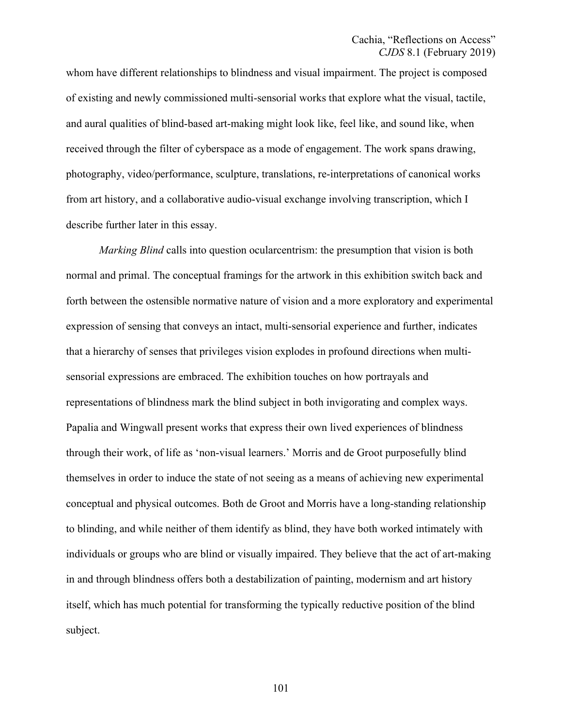whom have different relationships to blindness and visual impairment. The project is composed of existing and newly commissioned multi-sensorial works that explore what the visual, tactile, and aural qualities of blind-based art-making might look like, feel like, and sound like, when received through the filter of cyberspace as a mode of engagement. The work spans drawing, photography, video/performance, sculpture, translations, re-interpretations of canonical works from art history, and a collaborative audio-visual exchange involving transcription, which I describe further later in this essay.

*Marking Blind* calls into question ocularcentrism: the presumption that vision is both normal and primal. The conceptual framings for the artwork in this exhibition switch back and forth between the ostensible normative nature of vision and a more exploratory and experimental expression of sensing that conveys an intact, multi-sensorial experience and further, indicates that a hierarchy of senses that privileges vision explodes in profound directions when multisensorial expressions are embraced. The exhibition touches on how portrayals and representations of blindness mark the blind subject in both invigorating and complex ways. Papalia and Wingwall present works that express their own lived experiences of blindness through their work, of life as 'non-visual learners.' Morris and de Groot purposefully blind themselves in order to induce the state of not seeing as a means of achieving new experimental conceptual and physical outcomes. Both de Groot and Morris have a long-standing relationship to blinding, and while neither of them identify as blind, they have both worked intimately with individuals or groups who are blind or visually impaired. They believe that the act of art-making in and through blindness offers both a destabilization of painting, modernism and art history itself, which has much potential for transforming the typically reductive position of the blind subject.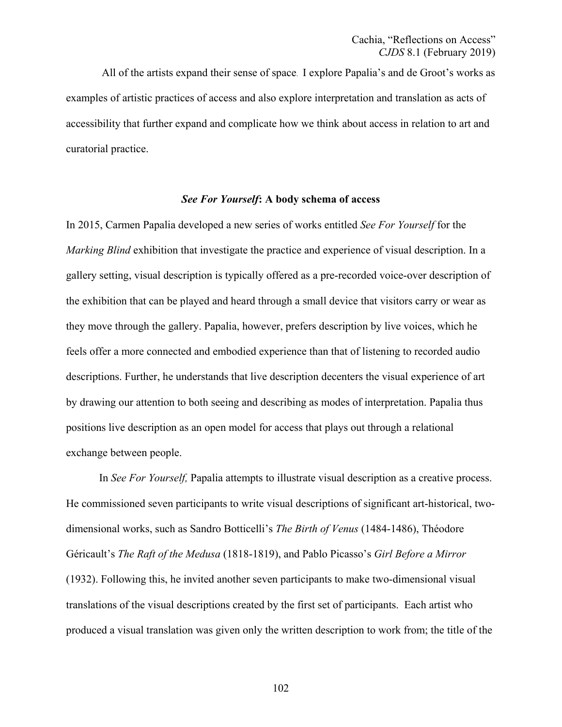All of the artists expand their sense of space. I explore Papalia's and de Groot's works as examples of artistic practices of access and also explore interpretation and translation as acts of accessibility that further expand and complicate how we think about access in relation to art and curatorial practice.

#### *See For Yourself***: A body schema of access**

In 2015, Carmen Papalia developed a new series of works entitled *See For Yourself* for the *Marking Blind* exhibition that investigate the practice and experience of visual description. In a gallery setting, visual description is typically offered as a pre-recorded voice-over description of the exhibition that can be played and heard through a small device that visitors carry or wear as they move through the gallery. Papalia, however, prefers description by live voices, which he feels offer a more connected and embodied experience than that of listening to recorded audio descriptions. Further, he understands that live description decenters the visual experience of art by drawing our attention to both seeing and describing as modes of interpretation. Papalia thus positions live description as an open model for access that plays out through a relational exchange between people.

In *See For Yourself,* Papalia attempts to illustrate visual description as a creative process. He commissioned seven participants to write visual descriptions of significant art-historical, twodimensional works, such as Sandro Botticelli's *The Birth of Venus* (1484-1486), Théodore Géricault's *The Raft of the Medusa* (1818-1819), and Pablo Picasso's *Girl Before a Mirror* (1932). Following this, he invited another seven participants to make two-dimensional visual translations of the visual descriptions created by the first set of participants. Each artist who produced a visual translation was given only the written description to work from; the title of the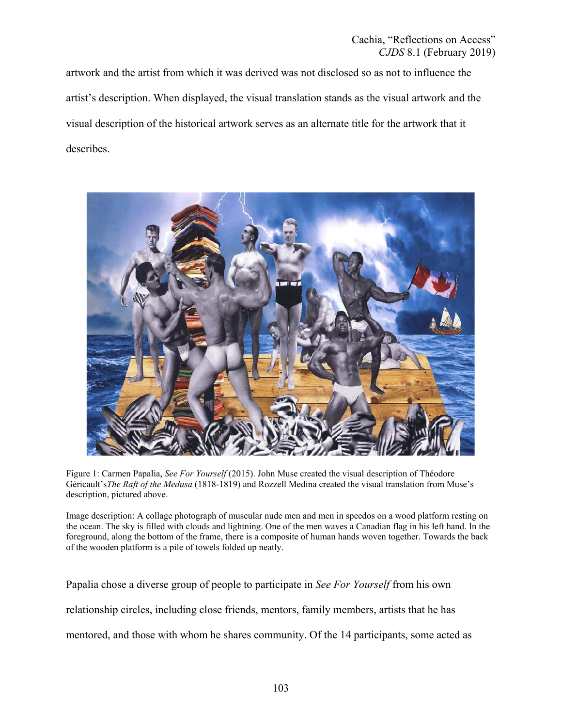artwork and the artist from which it was derived was not disclosed so as not to influence the artist's description. When displayed, the visual translation stands as the visual artwork and the visual description of the historical artwork serves as an alternate title for the artwork that it describes.



Figure 1: Carmen Papalia, *See For Yourself* (2015). John Muse created the visual description of Théodore Géricault's*The Raft of the Medusa* (1818-1819) and Rozzell Medina created the visual translation from Muse's description, pictured above.

Image description: A collage photograph of muscular nude men and men in speedos on a wood platform resting on the ocean. The sky is filled with clouds and lightning. One of the men waves a Canadian flag in his left hand. In the foreground, along the bottom of the frame, there is a composite of human hands woven together. Towards the back of the wooden platform is a pile of towels folded up neatly.

Papalia chose a diverse group of people to participate in *See For Yourself* from his own relationship circles, including close friends, mentors, family members, artists that he has mentored, and those with whom he shares community. Of the 14 participants, some acted as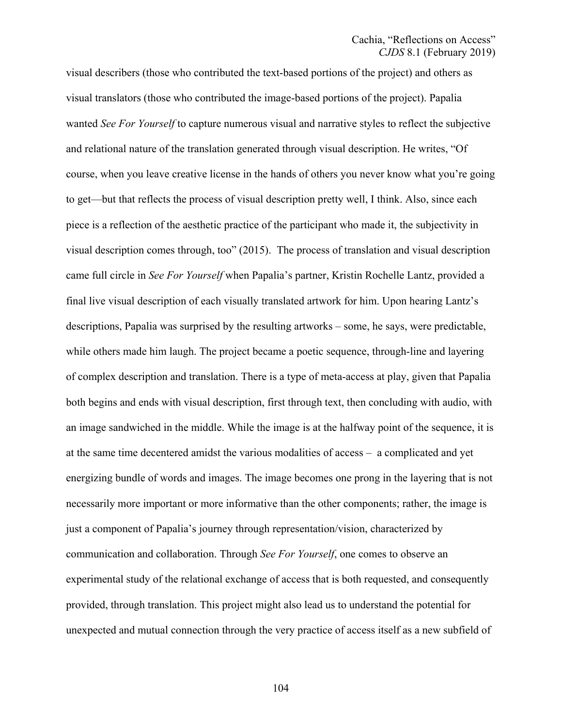visual describers (those who contributed the text-based portions of the project) and others as visual translators (those who contributed the image-based portions of the project). Papalia wanted *See For Yourself* to capture numerous visual and narrative styles to reflect the subjective and relational nature of the translation generated through visual description. He writes, "Of course, when you leave creative license in the hands of others you never know what you're going to get—but that reflects the process of visual description pretty well, I think. Also, since each piece is a reflection of the aesthetic practice of the participant who made it, the subjectivity in visual description comes through, too" (2015). The process of translation and visual description came full circle in *See For Yourself* when Papalia's partner, Kristin Rochelle Lantz, provided a final live visual description of each visually translated artwork for him. Upon hearing Lantz's descriptions, Papalia was surprised by the resulting artworks – some, he says, were predictable, while others made him laugh. The project became a poetic sequence, through-line and layering of complex description and translation. There is a type of meta-access at play, given that Papalia both begins and ends with visual description, first through text, then concluding with audio, with an image sandwiched in the middle. While the image is at the halfway point of the sequence, it is at the same time decentered amidst the various modalities of access – a complicated and yet energizing bundle of words and images. The image becomes one prong in the layering that is not necessarily more important or more informative than the other components; rather, the image is just a component of Papalia's journey through representation/vision, characterized by communication and collaboration. Through *See For Yourself*, one comes to observe an experimental study of the relational exchange of access that is both requested, and consequently provided, through translation. This project might also lead us to understand the potential for unexpected and mutual connection through the very practice of access itself as a new subfield of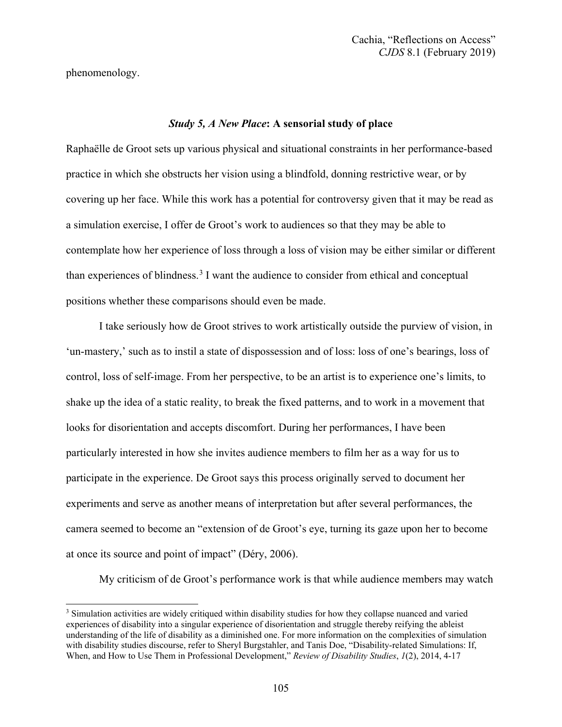phenomenology.

#### *Study 5, A New Place***: A sensorial study of place**

Raphaëlle de Groot sets up various physical and situational constraints in her performance-based practice in which she obstructs her vision using a blindfold, donning restrictive wear, or by covering up her face. While this work has a potential for controversy given that it may be read as a simulation exercise, I offer de Groot's work to audiences so that they may be able to contemplate how her experience of loss through a loss of vision may be either similar or different than experiences of blindness.<sup>[3](#page-8-0)</sup> I want the audience to consider from ethical and conceptual positions whether these comparisons should even be made.

<span id="page-8-1"></span>I take seriously how de Groot strives to work artistically outside the purview of vision, in 'un-mastery,' such as to instil a state of dispossession and of loss: loss of one's bearings, loss of control, loss of self-image. From her perspective, to be an artist is to experience one's limits, to shake up the idea of a static reality, to break the fixed patterns, and to work in a movement that looks for disorientation and accepts discomfort. During her performances, I have been particularly interested in how she invites audience members to film her as a way for us to participate in the experience. De Groot says this process originally served to document her experiments and serve as another means of interpretation but after several performances, the camera seemed to become an "extension of de Groot's eye, turning its gaze upon her to become at once its source and point of impact" (Déry, 2006).

My criticism of de Groot's performance work is that while audience members may watch

<span id="page-8-0"></span><sup>&</sup>lt;sup>[3](#page-8-1)</sup> Simulation activities are widely critiqued within disability studies for how they collapse nuanced and varied experiences of disability into a singular experience of disorientation and struggle thereby reifying the ableist understanding of the life of disability as a diminished one. For more information on the complexities of simulation with disability studies discourse, refer to Sheryl Burgstahler, and Tanis Doe, "Disability-related Simulations: If, When, and How to Use Them in Professional Development," *Review of Disability Studies*, *1*(2), 2014, 4-17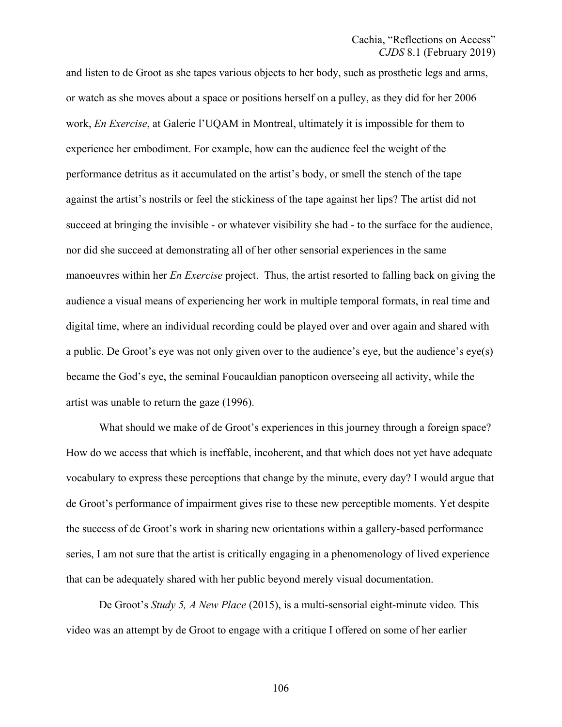and listen to de Groot as she tapes various objects to her body, such as prosthetic legs and arms, or watch as she moves about a space or positions herself on a pulley, as they did for her 2006 work, *En Exercise*, at Galerie l'UQAM in Montreal, ultimately it is impossible for them to experience her embodiment. For example, how can the audience feel the weight of the performance detritus as it accumulated on the artist's body, or smell the stench of the tape against the artist's nostrils or feel the stickiness of the tape against her lips? The artist did not succeed at bringing the invisible - or whatever visibility she had - to the surface for the audience, nor did she succeed at demonstrating all of her other sensorial experiences in the same manoeuvres within her *En Exercise* project. Thus, the artist resorted to falling back on giving the audience a visual means of experiencing her work in multiple temporal formats, in real time and digital time, where an individual recording could be played over and over again and shared with a public. De Groot's eye was not only given over to the audience's eye, but the audience's eye(s) became the God's eye, the seminal Foucauldian panopticon overseeing all activity, while the artist was unable to return the gaze (1996).

What should we make of de Groot's experiences in this journey through a foreign space? How do we access that which is ineffable, incoherent, and that which does not yet have adequate vocabulary to express these perceptions that change by the minute, every day? I would argue that de Groot's performance of impairment gives rise to these new perceptible moments. Yet despite the success of de Groot's work in sharing new orientations within a gallery-based performance series, I am not sure that the artist is critically engaging in a phenomenology of lived experience that can be adequately shared with her public beyond merely visual documentation.

De Groot's *Study 5, A New Place* (2015), is a multi-sensorial eight-minute video*.* This video was an attempt by de Groot to engage with a critique I offered on some of her earlier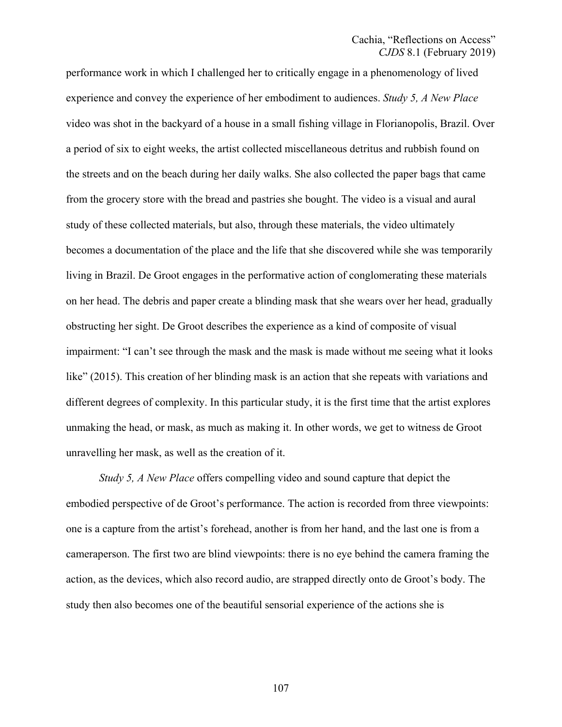performance work in which I challenged her to critically engage in a phenomenology of lived experience and convey the experience of her embodiment to audiences. *Study 5, A New Place*  video was shot in the backyard of a house in a small fishing village in Florianopolis, Brazil. Over a period of six to eight weeks, the artist collected miscellaneous detritus and rubbish found on the streets and on the beach during her daily walks. She also collected the paper bags that came from the grocery store with the bread and pastries she bought. The video is a visual and aural study of these collected materials, but also, through these materials, the video ultimately becomes a documentation of the place and the life that she discovered while she was temporarily living in Brazil. De Groot engages in the performative action of conglomerating these materials on her head. The debris and paper create a blinding mask that she wears over her head, gradually obstructing her sight. De Groot describes the experience as a kind of composite of visual impairment: "I can't see through the mask and the mask is made without me seeing what it looks like" (2015). This creation of her blinding mask is an action that she repeats with variations and different degrees of complexity. In this particular study, it is the first time that the artist explores unmaking the head, or mask, as much as making it. In other words, we get to witness de Groot unravelling her mask, as well as the creation of it.

*Study 5, A New Place* offers compelling video and sound capture that depict the embodied perspective of de Groot's performance. The action is recorded from three viewpoints: one is a capture from the artist's forehead, another is from her hand, and the last one is from a cameraperson. The first two are blind viewpoints: there is no eye behind the camera framing the action, as the devices, which also record audio, are strapped directly onto de Groot's body. The study then also becomes one of the beautiful sensorial experience of the actions she is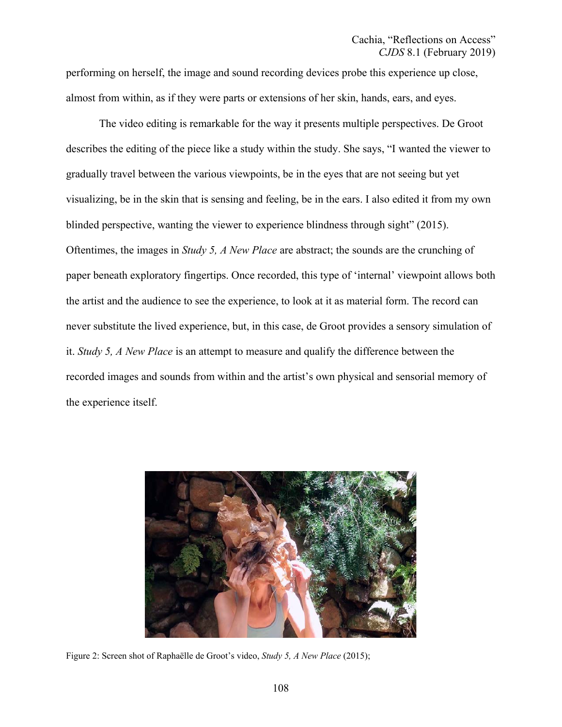performing on herself, the image and sound recording devices probe this experience up close, almost from within, as if they were parts or extensions of her skin, hands, ears, and eyes.

The video editing is remarkable for the way it presents multiple perspectives. De Groot describes the editing of the piece like a study within the study. She says, "I wanted the viewer to gradually travel between the various viewpoints, be in the eyes that are not seeing but yet visualizing, be in the skin that is sensing and feeling, be in the ears. I also edited it from my own blinded perspective, wanting the viewer to experience blindness through sight" (2015). Oftentimes, the images in *Study 5, A New Place* are abstract; the sounds are the crunching of paper beneath exploratory fingertips. Once recorded, this type of 'internal' viewpoint allows both the artist and the audience to see the experience, to look at it as material form. The record can never substitute the lived experience, but, in this case, de Groot provides a sensory simulation of it. *Study 5, A New Place* is an attempt to measure and qualify the difference between the recorded images and sounds from within and the artist's own physical and sensorial memory of the experience itself.



Figure 2: Screen shot of Raphaëlle de Groot's video, *Study 5, A New Place* (2015);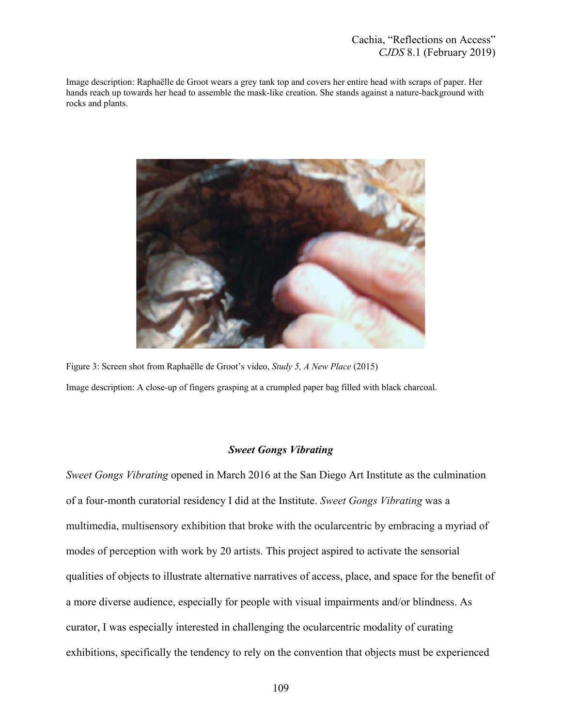Image description: Raphaëlle de Groot wears a grey tank top and covers her entire head with scraps of paper. Her hands reach up towards her head to assemble the mask-like creation. She stands against a nature-background with rocks and plants.



Figure 3: Screen shot from Raphaëlle de Groot's video, *Study 5, A New Place* (2015) Image description: A close-up of fingers grasping at a crumpled paper bag filled with black charcoal.

# *Sweet Gongs Vibrating*

*Sweet Gongs Vibrating* opened in March 2016 at the San Diego Art Institute as the culmination of a four-month curatorial residency I did at the Institute. *Sweet Gongs Vibrating* was a multimedia, multisensory exhibition that broke with the ocularcentric by embracing a myriad of modes of perception with work by 20 artists. This project aspired to activate the sensorial qualities of objects to illustrate alternative narratives of access, place, and space for the benefit of a more diverse audience, especially for people with visual impairments and/or blindness. As curator, I was especially interested in challenging the ocularcentric modality of curating exhibitions, specifically the tendency to rely on the convention that objects must be experienced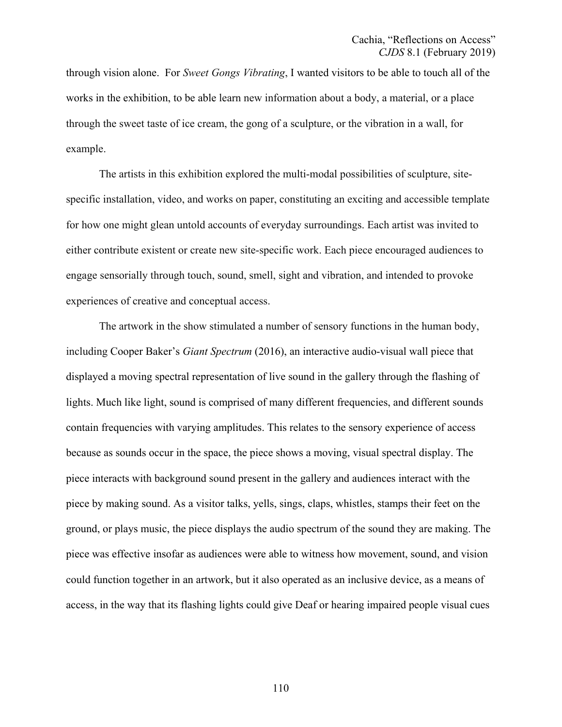through vision alone. For *Sweet Gongs Vibrating*, I wanted visitors to be able to touch all of the works in the exhibition, to be able learn new information about a body, a material, or a place through the sweet taste of ice cream, the gong of a sculpture, or the vibration in a wall, for example.

The artists in this exhibition explored the multi-modal possibilities of sculpture, sitespecific installation, video, and works on paper, constituting an exciting and accessible template for how one might glean untold accounts of everyday surroundings. Each artist was invited to either contribute existent or create new site-specific work. Each piece encouraged audiences to engage sensorially through touch, sound, smell, sight and vibration, and intended to provoke experiences of creative and conceptual access.

The artwork in the show stimulated a number of sensory functions in the human body, including Cooper Baker's *Giant Spectrum* (2016), an interactive audio-visual wall piece that displayed a moving spectral representation of live sound in the gallery through the flashing of lights. Much like light, sound is comprised of many different frequencies, and different sounds contain frequencies with varying amplitudes. This relates to the sensory experience of access because as sounds occur in the space, the piece shows a moving, visual spectral display. The piece interacts with background sound present in the gallery and audiences interact with the piece by making sound. As a visitor talks, yells, sings, claps, whistles, stamps their feet on the ground, or plays music, the piece displays the audio spectrum of the sound they are making. The piece was effective insofar as audiences were able to witness how movement, sound, and vision could function together in an artwork, but it also operated as an inclusive device, as a means of access, in the way that its flashing lights could give Deaf or hearing impaired people visual cues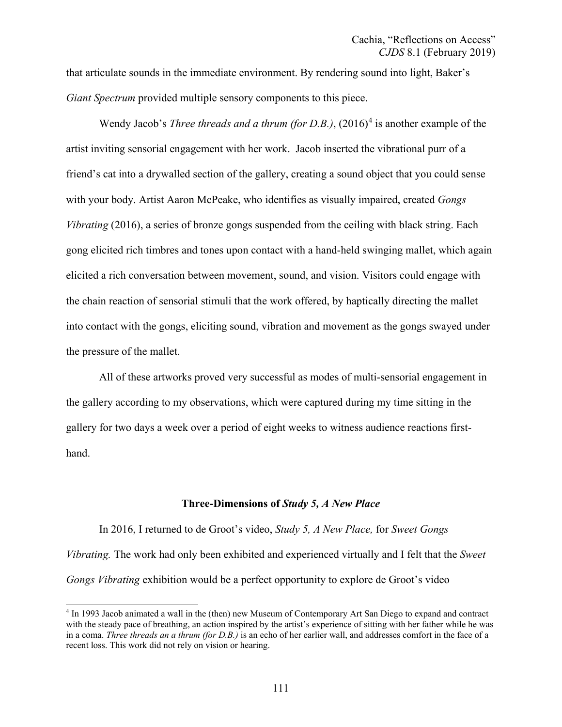that articulate sounds in the immediate environment. By rendering sound into light, Baker's *Giant Spectrum* provided multiple sensory components to this piece.

<span id="page-14-1"></span>Wendy Jacob's *Three threads and a thrum (for D.B.)*, (2016)<sup>[4](#page-14-0)</sup> is another example of the artist inviting sensorial engagement with her work. Jacob inserted the vibrational purr of a friend's cat into a drywalled section of the gallery, creating a sound object that you could sense with your body. Artist Aaron McPeake, who identifies as visually impaired, created *Gongs Vibrating* (2016), a series of bronze gongs suspended from the ceiling with black string. Each gong elicited rich timbres and tones upon contact with a hand-held swinging mallet, which again elicited a rich conversation between movement, sound, and vision. Visitors could engage with the chain reaction of sensorial stimuli that the work offered, by haptically directing the mallet into contact with the gongs, eliciting sound, vibration and movement as the gongs swayed under the pressure of the mallet.

All of these artworks proved very successful as modes of multi-sensorial engagement in the gallery according to my observations, which were captured during my time sitting in the gallery for two days a week over a period of eight weeks to witness audience reactions firsthand.

#### **Three-Dimensions of** *Study 5, A New Place*

In 2016, I returned to de Groot's video, *Study 5, A New Place,* for *Sweet Gongs Vibrating.* The work had only been exhibited and experienced virtually and I felt that the *Sweet Gongs Vibrating* exhibition would be a perfect opportunity to explore de Groot's video

<span id="page-14-0"></span>[<sup>4</sup>](#page-14-1) In 1993 Jacob animated a wall in the (then) new Museum of Contemporary Art San Diego to expand and contract with the steady pace of breathing, an action inspired by the artist's experience of sitting with her father while he was in a coma. *Three threads an a thrum (for D.B.)* is an echo of her earlier wall, and addresses comfort in the face of a recent loss. This work did not rely on vision or hearing.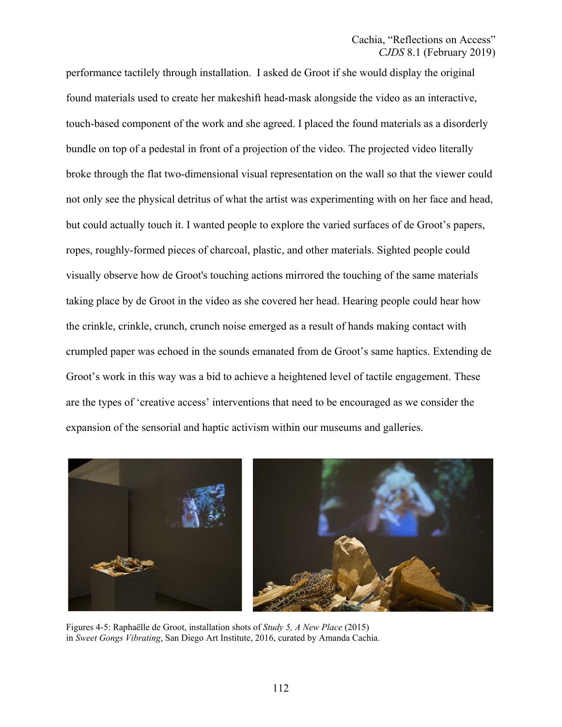performance tactilely through installation. I asked de Groot if she would display the original found materials used to create her makeshift head-mask alongside the video as an interactive, touch-based component of the work and she agreed. I placed the found materials as a disorderly bundle on top of a pedestal in front of a projection of the video. The projected video literally broke through the flat two-dimensional visual representation on the wall so that the viewer could not only see the physical detritus of what the artist was experimenting with on her face and head, but could actually touch it. I wanted people to explore the varied surfaces of de Groot's papers, ropes, roughly-formed pieces of charcoal, plastic, and other materials. Sighted people could visually observe how de Groot's touching actions mirrored the touching of the same materials taking place by de Groot in the video as she covered her head. Hearing people could hear how the crinkle, crinkle, crunch, crunch noise emerged as a result of hands making contact with crumpled paper was echoed in the sounds emanated from de Groot's same haptics. Extending de Groot's work in this way was a bid to achieve a heightened level of tactile engagement. These are the types of 'creative access' interventions that need to be encouraged as we consider the expansion of the sensorial and haptic activism within our museums and galleries.



Figures 4-5: Raphaëlle de Groot, installation shots of *Study 5, A New Place* (2015) in *Sweet Gongs Vibrating*, San Diego Art Institute, 2016, curated by Amanda Cachia.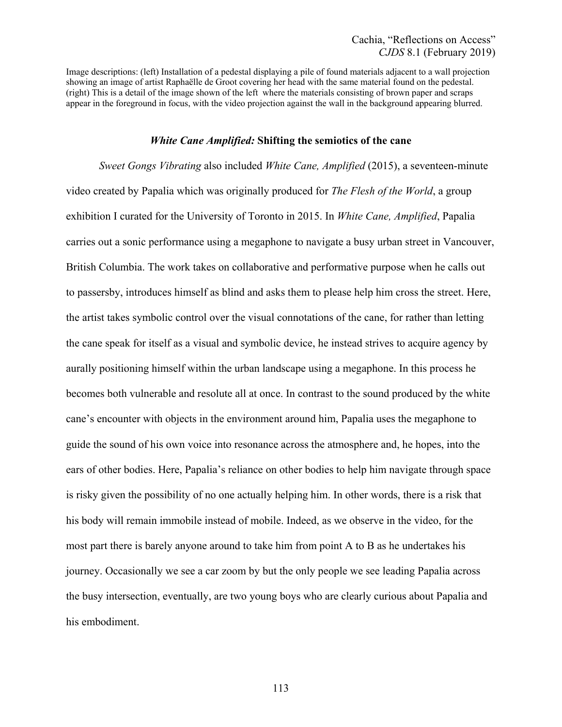Image descriptions: (left) Installation of a pedestal displaying a pile of found materials adjacent to a wall projection showing an image of artist Raphaëlle de Groot covering her head with the same material found on the pedestal. (right) This is a detail of the image shown of the left where the materials consisting of brown paper and scraps appear in the foreground in focus, with the video projection against the wall in the background appearing blurred.

## *White Cane Amplified:* **Shifting the semiotics of the cane**

*Sweet Gongs Vibrating* also included *White Cane, Amplified* (2015), a seventeen-minute video created by Papalia which was originally produced for *The Flesh of the World*, a group exhibition I curated for the University of Toronto in 2015. In *White Cane, Amplified*, Papalia carries out a sonic performance using a megaphone to navigate a busy urban street in Vancouver, British Columbia. The work takes on collaborative and performative purpose when he calls out to passersby, introduces himself as blind and asks them to please help him cross the street. Here, the artist takes symbolic control over the visual connotations of the cane, for rather than letting the cane speak for itself as a visual and symbolic device, he instead strives to acquire agency by aurally positioning himself within the urban landscape using a megaphone. In this process he becomes both vulnerable and resolute all at once. In contrast to the sound produced by the white cane's encounter with objects in the environment around him, Papalia uses the megaphone to guide the sound of his own voice into resonance across the atmosphere and, he hopes, into the ears of other bodies. Here, Papalia's reliance on other bodies to help him navigate through space is risky given the possibility of no one actually helping him. In other words, there is a risk that his body will remain immobile instead of mobile. Indeed, as we observe in the video, for the most part there is barely anyone around to take him from point A to B as he undertakes his journey. Occasionally we see a car zoom by but the only people we see leading Papalia across the busy intersection, eventually, are two young boys who are clearly curious about Papalia and his embodiment.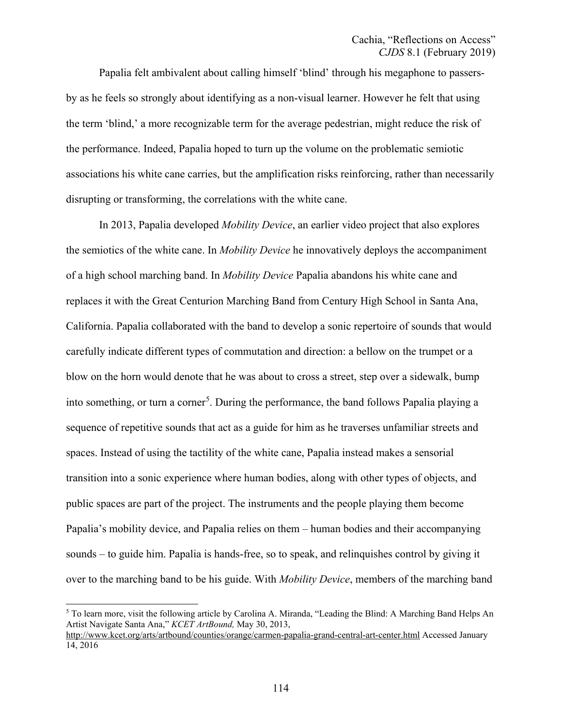Papalia felt ambivalent about calling himself 'blind' through his megaphone to passersby as he feels so strongly about identifying as a non-visual learner. However he felt that using the term 'blind,' a more recognizable term for the average pedestrian, might reduce the risk of the performance. Indeed, Papalia hoped to turn up the volume on the problematic semiotic associations his white cane carries, but the amplification risks reinforcing, rather than necessarily disrupting or transforming, the correlations with the white cane.

<span id="page-17-1"></span>In 2013, Papalia developed *Mobility Device*, an earlier video project that also explores the semiotics of the white cane. In *Mobility Device* he innovatively deploys the accompaniment of a high school marching band. In *Mobility Device* Papalia abandons his white cane and replaces it with the Great Centurion Marching Band from Century High School in Santa Ana, California. Papalia collaborated with the band to develop a sonic repertoire of sounds that would carefully indicate different types of commutation and direction: a bellow on the trumpet or a blow on the horn would denote that he was about to cross a street, step over a sidewalk, bump into something, or turn a corner<sup>[5](#page-17-0)</sup>. During the performance, the band follows Papalia playing a sequence of repetitive sounds that act as a guide for him as he traverses unfamiliar streets and spaces. Instead of using the tactility of the white cane, Papalia instead makes a sensorial transition into a sonic experience where human bodies, along with other types of objects, and public spaces are part of the project. The instruments and the people playing them become Papalia's mobility device, and Papalia relies on them – human bodies and their accompanying sounds – to guide him. Papalia is hands-free, so to speak, and relinquishes control by giving it over to the marching band to be his guide. With *Mobility Device*, members of the marching band

<span id="page-17-0"></span>[<sup>5</sup>](#page-17-1) To learn more, visit the following article by Carolina A. Miranda, "Leading the Blind: A Marching Band Helps An Artist Navigate Santa Ana," *KCET ArtBound,* May 30, 2013,

<http://www.kcet.org/arts/artbound/counties/orange/carmen-papalia-grand-central-art-center.html> Accessed January 14, 2016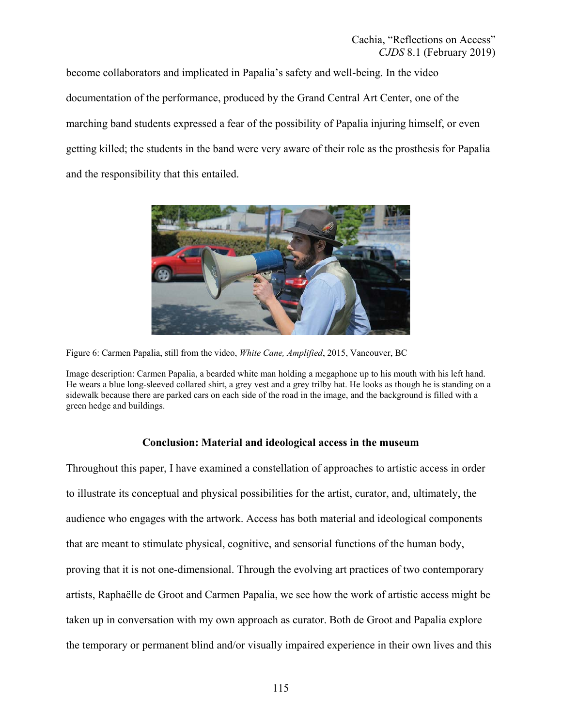become collaborators and implicated in Papalia's safety and well-being. In the video documentation of the performance, produced by the Grand Central Art Center, one of the marching band students expressed a fear of the possibility of Papalia injuring himself, or even getting killed; the students in the band were very aware of their role as the prosthesis for Papalia and the responsibility that this entailed.



Figure 6: Carmen Papalia, still from the video, *White Cane, Amplified*, 2015, Vancouver, BC

# **Conclusion: Material and ideological access in the museum**

Throughout this paper, I have examined a constellation of approaches to artistic access in order to illustrate its conceptual and physical possibilities for the artist, curator, and, ultimately, the audience who engages with the artwork. Access has both material and ideological components that are meant to stimulate physical, cognitive, and sensorial functions of the human body, proving that it is not one-dimensional. Through the evolving art practices of two contemporary artists, Raphaëlle de Groot and Carmen Papalia, we see how the work of artistic access might be taken up in conversation with my own approach as curator. Both de Groot and Papalia explore the temporary or permanent blind and/or visually impaired experience in their own lives and this

Image description: Carmen Papalia, a bearded white man holding a megaphone up to his mouth with his left hand. He wears a blue long-sleeved collared shirt, a grey vest and a grey trilby hat. He looks as though he is standing on a sidewalk because there are parked cars on each side of the road in the image, and the background is filled with a green hedge and buildings.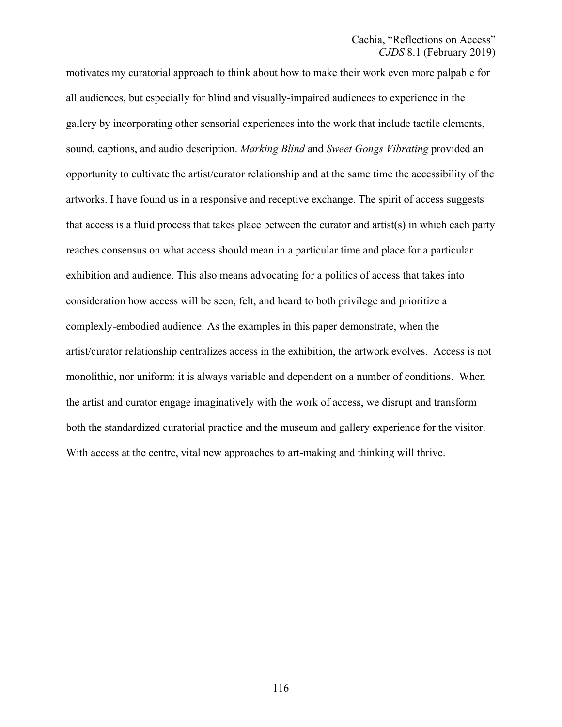motivates my curatorial approach to think about how to make their work even more palpable for all audiences, but especially for blind and visually-impaired audiences to experience in the gallery by incorporating other sensorial experiences into the work that include tactile elements, sound, captions, and audio description. *Marking Blind* and *Sweet Gongs Vibrating* provided an opportunity to cultivate the artist/curator relationship and at the same time the accessibility of the artworks. I have found us in a responsive and receptive exchange. The spirit of access suggests that access is a fluid process that takes place between the curator and artist(s) in which each party reaches consensus on what access should mean in a particular time and place for a particular exhibition and audience. This also means advocating for a politics of access that takes into consideration how access will be seen, felt, and heard to both privilege and prioritize a complexly-embodied audience. As the examples in this paper demonstrate, when the artist/curator relationship centralizes access in the exhibition, the artwork evolves. Access is not monolithic, nor uniform; it is always variable and dependent on a number of conditions. When the artist and curator engage imaginatively with the work of access, we disrupt and transform both the standardized curatorial practice and the museum and gallery experience for the visitor. With access at the centre, vital new approaches to art-making and thinking will thrive.